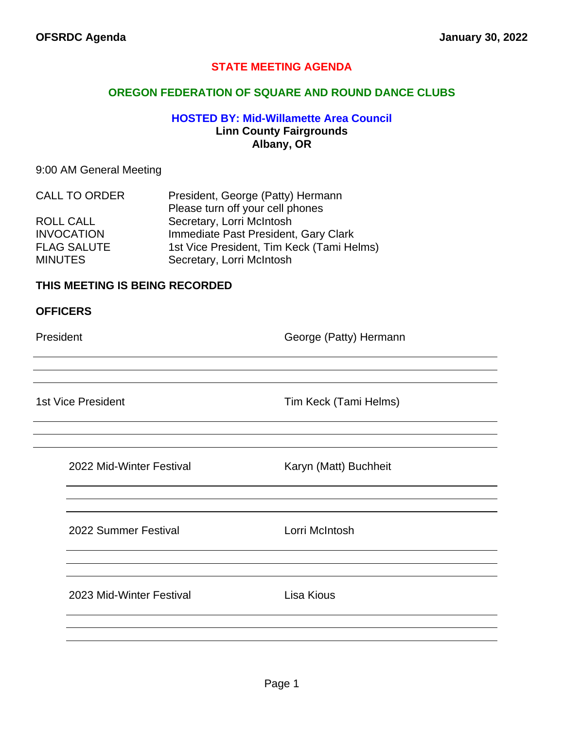## **STATE MEETING AGENDA**

## **OREGON FEDERATION OF SQUARE AND ROUND DANCE CLUBS**

## **HOSTED BY: Mid-Willamette Area Council Linn County Fairgrounds Albany, OR**

## 9:00 AM General Meeting

| <b>CALL TO ORDER</b> | President, George (Patty) Hermann         |  |
|----------------------|-------------------------------------------|--|
|                      | Please turn off your cell phones          |  |
| ROLL CALL            | Secretary, Lorri McIntosh                 |  |
| <b>INVOCATION</b>    | Immediate Past President, Gary Clark      |  |
| <b>FLAG SALUTE</b>   | 1st Vice President, Tim Keck (Tami Helms) |  |
| <b>MINUTES</b>       | Secretary, Lorri McIntosh                 |  |

## **THIS MEETING IS BEING RECORDED**

### **OFFICERS**

President **Contract Contract Contract Contract Contract Contract Contract Contract Contract Contract Contract Contract Contract Contract Contract Contract Contract Contract Contract Contract Contract Contract Contract Cont** 

<u> 1989 - Johann Barbara, martxa alemaniar a</u>

1st Vice President Tim Keck (Tami Helms)

2022 Mid-Winter Festival Karyn (Matt) Buchheit

2022 Summer Festival Lorri McIntosh

2023 Mid-Winter Festival **Lisa Kious**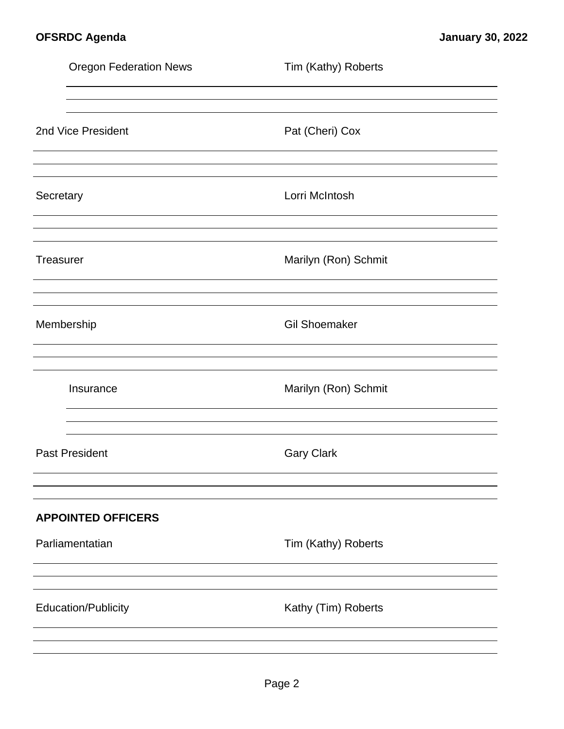| Tim (Kathy) Roberts  |
|----------------------|
|                      |
| Pat (Cheri) Cox      |
| Lorri McIntosh       |
| Marilyn (Ron) Schmit |
| <b>Gil Shoemaker</b> |
| Marilyn (Ron) Schmit |
| <b>Gary Clark</b>    |
|                      |
| Tim (Kathy) Roberts  |
| Kathy (Tim) Roberts  |
|                      |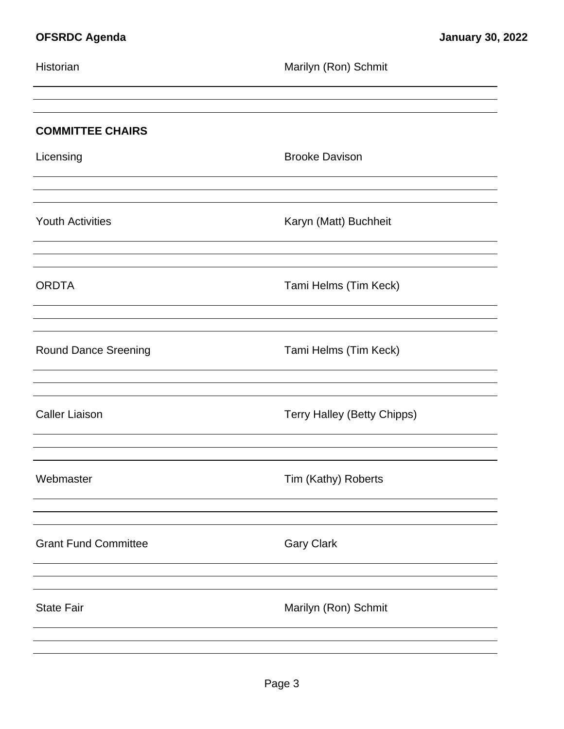| Historian                   | Marilyn (Ron) Schmit               |
|-----------------------------|------------------------------------|
| <b>COMMITTEE CHAIRS</b>     |                                    |
| Licensing                   | <b>Brooke Davison</b>              |
| <b>Youth Activities</b>     | Karyn (Matt) Buchheit              |
| <b>ORDTA</b>                | Tami Helms (Tim Keck)              |
| Round Dance Sreening        | Tami Helms (Tim Keck)              |
| <b>Caller Liaison</b>       | <b>Terry Halley (Betty Chipps)</b> |
| Webmaster                   | Tim (Kathy) Roberts                |
| <b>Grant Fund Committee</b> | <b>Gary Clark</b>                  |
| <b>State Fair</b>           | Marilyn (Ron) Schmit               |
|                             |                                    |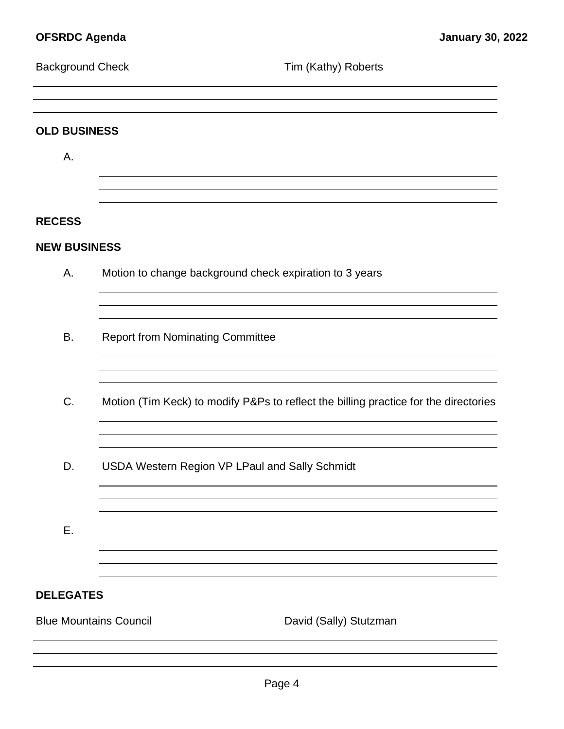| <b>Background Check</b> | Tim (Kathy) Roberts                                                                  |  |  |  |
|-------------------------|--------------------------------------------------------------------------------------|--|--|--|
| <b>OLD BUSINESS</b>     |                                                                                      |  |  |  |
| Α.                      |                                                                                      |  |  |  |
| <b>RECESS</b>           |                                                                                      |  |  |  |
| <b>NEW BUSINESS</b>     |                                                                                      |  |  |  |
| Α.                      | Motion to change background check expiration to 3 years                              |  |  |  |
| В.                      | <b>Report from Nominating Committee</b>                                              |  |  |  |
| C.                      | Motion (Tim Keck) to modify P&Ps to reflect the billing practice for the directories |  |  |  |
| D.                      | USDA Western Region VP LPaul and Sally Schmidt                                       |  |  |  |
| Ε.                      |                                                                                      |  |  |  |
|                         |                                                                                      |  |  |  |
| <b>DELEGATES</b>        |                                                                                      |  |  |  |
|                         | <b>Blue Mountains Council</b><br>David (Sally) Stutzman                              |  |  |  |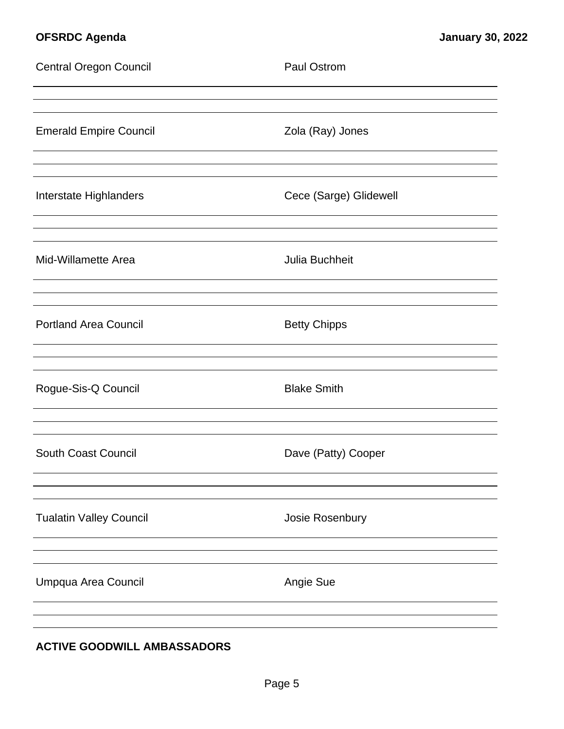| <b>Central Oregon Council</b>  | <b>Paul Ostrom</b>     |
|--------------------------------|------------------------|
| <b>Emerald Empire Council</b>  | Zola (Ray) Jones       |
| Interstate Highlanders         | Cece (Sarge) Glidewell |
| Mid-Willamette Area            | Julia Buchheit         |
| <b>Portland Area Council</b>   | <b>Betty Chipps</b>    |
| Rogue-Sis-Q Council            | <b>Blake Smith</b>     |
| <b>South Coast Council</b>     | Dave (Patty) Cooper    |
| <b>Tualatin Valley Council</b> | Josie Rosenbury        |
| Umpqua Area Council            | Angie Sue              |
|                                |                        |

# **ACTIVE GOODWILL AMBASSADORS**